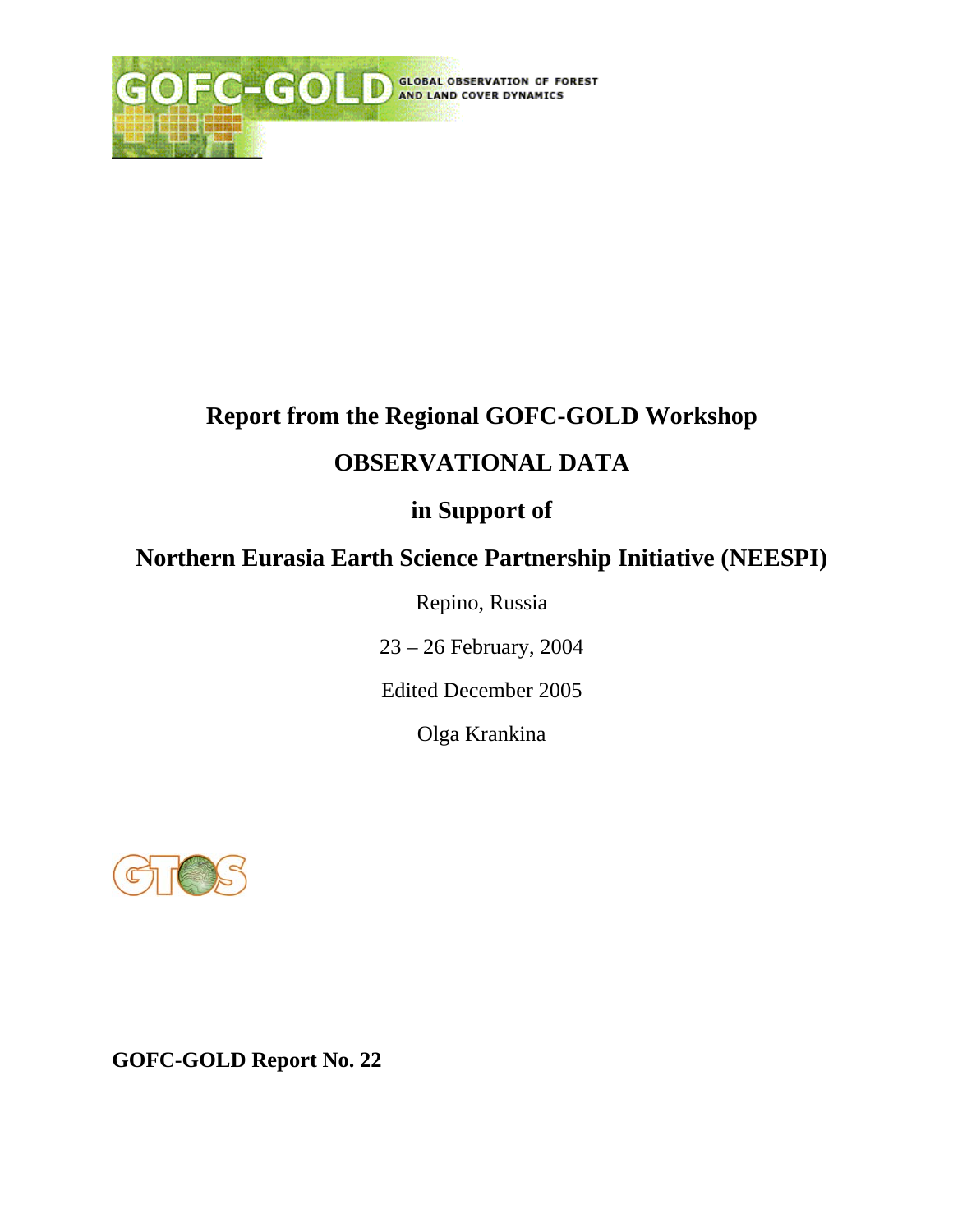

# **Report from the Regional GOFC-GOLD Workshop**

#### **OBSERVATIONAL DATA**

### **in Support of**

## **Northern Eurasia Earth Science Partnership Initiative (NEESPI)**

Repino, Russia

23 – 26 February, 2004

Edited December 2005

Olga Krankina



**GOFC-GOLD Report No. 22**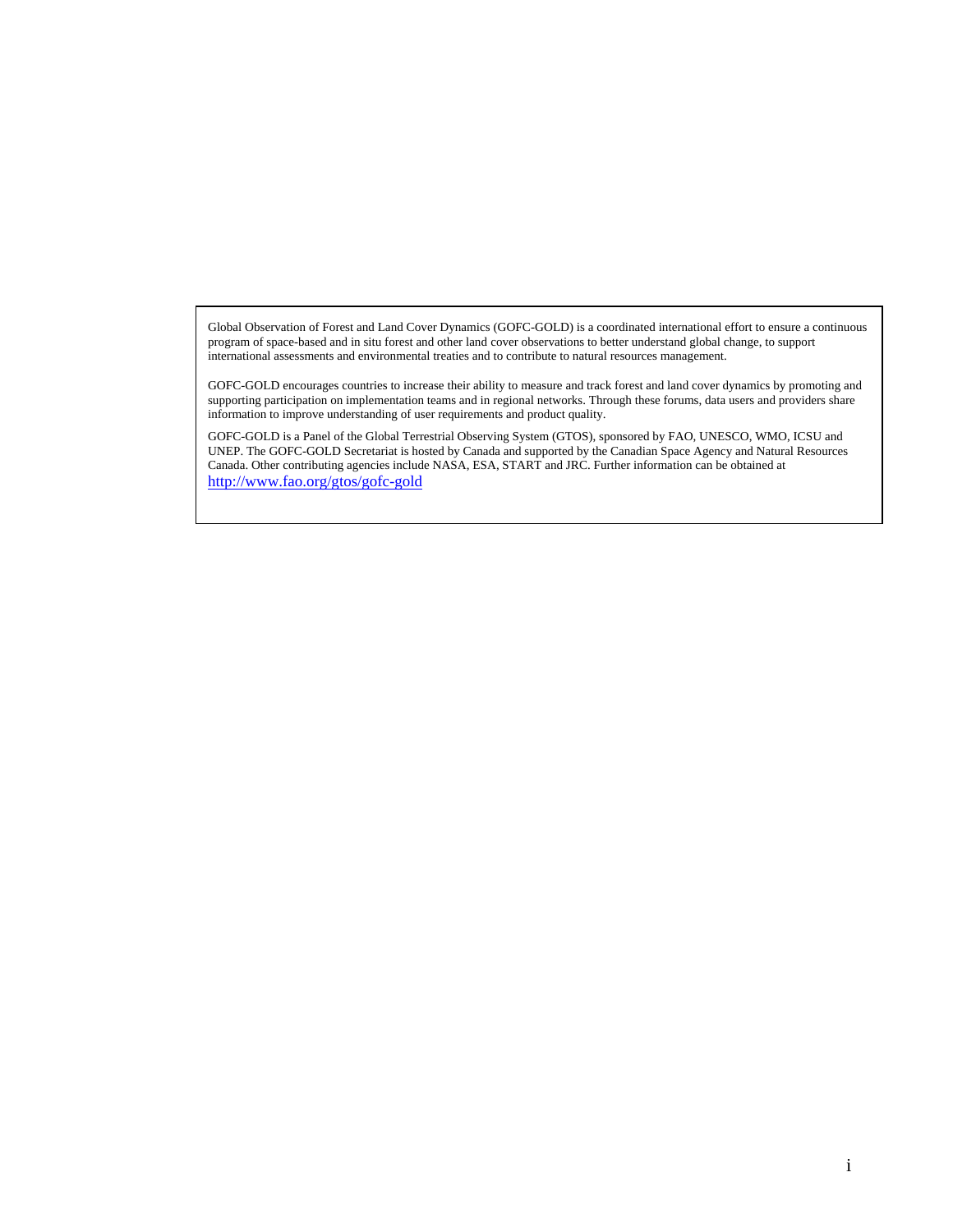Global Observation of Forest and Land Cover Dynamics (GOFC-GOLD) is a coordinated international effort to ensure a continuous program of space-based and in situ forest and other land cover observations to better understand global change, to support international assessments and environmental treaties and to contribute to natural resources management.

GOFC-GOLD encourages countries to increase their ability to measure and track forest and land cover dynamics by promoting and supporting participation on implementation teams and in regional networks. Through these forums, data users and providers share information to improve understanding of user requirements and product quality.

GOFC-GOLD is a Panel of the Global Terrestrial Observing System (GTOS), sponsored by FAO, UNESCO, WMO, ICSU and UNEP. The GOFC-GOLD Secretariat is hosted by Canada and supported by the Canadian Space Agency and Natural Resources Canada. Other contributing agencies include NASA, ESA, START and JRC. Further information can be obtained at http://www.fao.org/gtos/gofc-gold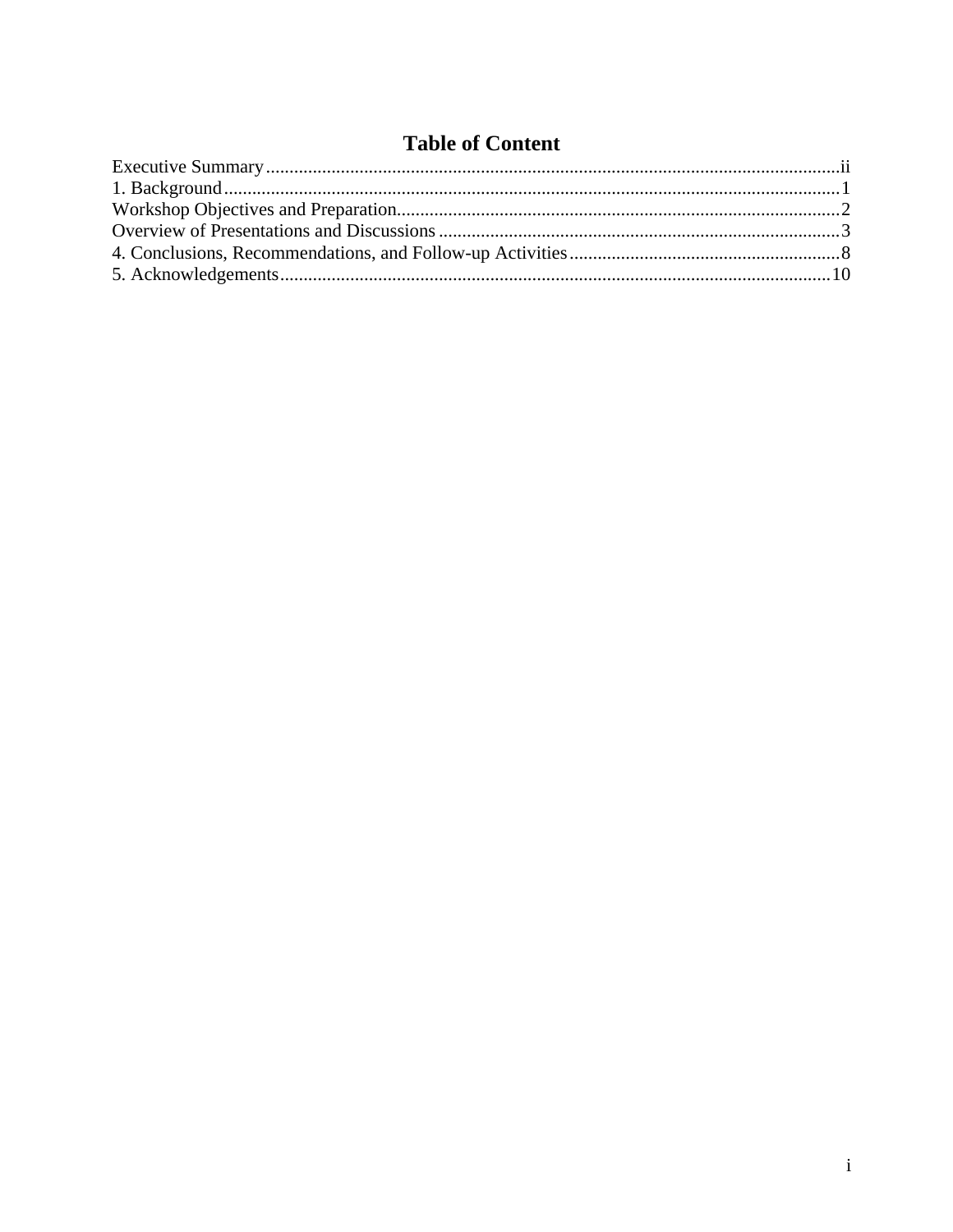#### **Table of Content**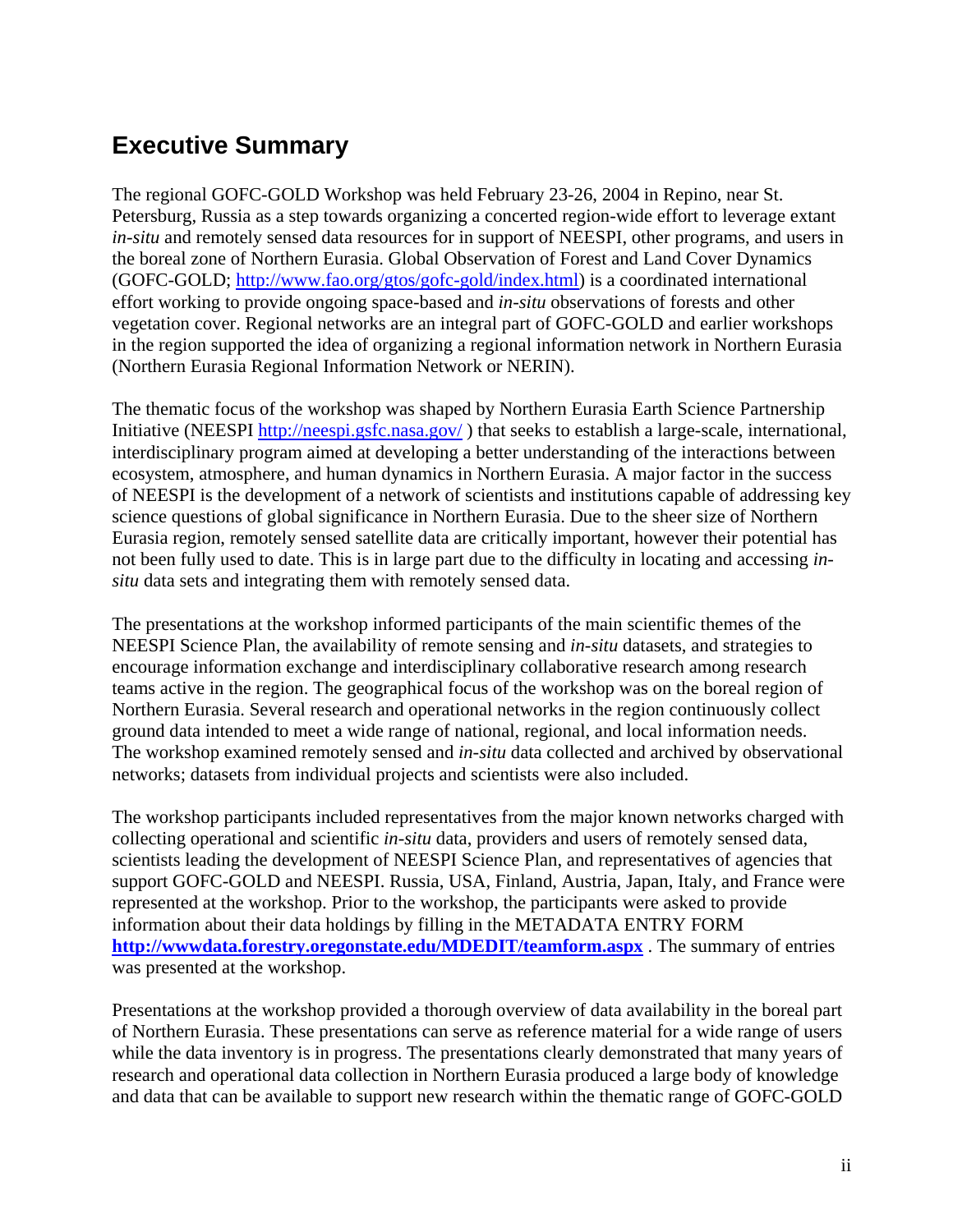### **Executive Summary**

The regional GOFC-GOLD Workshop was held February 23-26, 2004 in Repino, near St. Petersburg, Russia as a step towards organizing a concerted region-wide effort to leverage extant *in-situ* and remotely sensed data resources for in support of NEESPI, other programs, and users in the boreal zone of Northern Eurasia. Global Observation of Forest and Land Cover Dynamics (GOFC-GOLD; http://www.fao.org/gtos/gofc-gold/index.html) is a coordinated international effort working to provide ongoing space-based and *in-situ* observations of forests and other vegetation cover. Regional networks are an integral part of GOFC-GOLD and earlier workshops in the region supported the idea of organizing a regional information network in Northern Eurasia (Northern Eurasia Regional Information Network or NERIN).

The thematic focus of the workshop was shaped by Northern Eurasia Earth Science Partnership Initiative (NEESPI http://neespi.gsfc.nasa.gov/) that seeks to establish a large-scale, international, interdisciplinary program aimed at developing a better understanding of the interactions between ecosystem, atmosphere, and human dynamics in Northern Eurasia. A major factor in the success of NEESPI is the development of a network of scientists and institutions capable of addressing key science questions of global significance in Northern Eurasia. Due to the sheer size of Northern Eurasia region, remotely sensed satellite data are critically important, however their potential has not been fully used to date. This is in large part due to the difficulty in locating and accessing *insitu* data sets and integrating them with remotely sensed data.

The presentations at the workshop informed participants of the main scientific themes of the NEESPI Science Plan, the availability of remote sensing and *in-situ* datasets, and strategies to encourage information exchange and interdisciplinary collaborative research among research teams active in the region. The geographical focus of the workshop was on the boreal region of Northern Eurasia. Several research and operational networks in the region continuously collect ground data intended to meet a wide range of national, regional, and local information needs. The workshop examined remotely sensed and *in-situ* data collected and archived by observational networks; datasets from individual projects and scientists were also included.

The workshop participants included representatives from the major known networks charged with collecting operational and scientific *in-situ* data, providers and users of remotely sensed data, scientists leading the development of NEESPI Science Plan, and representatives of agencies that support GOFC-GOLD and NEESPI. Russia, USA, Finland, Austria, Japan, Italy, and France were represented at the workshop. Prior to the workshop, the participants were asked to provide information about their data holdings by filling in the METADATA ENTRY FORM **http://wwwdata.forestry.oregonstate.edu/MDEDIT/teamform.aspx** . The summary of entries was presented at the workshop.

Presentations at the workshop provided a thorough overview of data availability in the boreal part of Northern Eurasia. These presentations can serve as reference material for a wide range of users while the data inventory is in progress. The presentations clearly demonstrated that many years of research and operational data collection in Northern Eurasia produced a large body of knowledge and data that can be available to support new research within the thematic range of GOFC-GOLD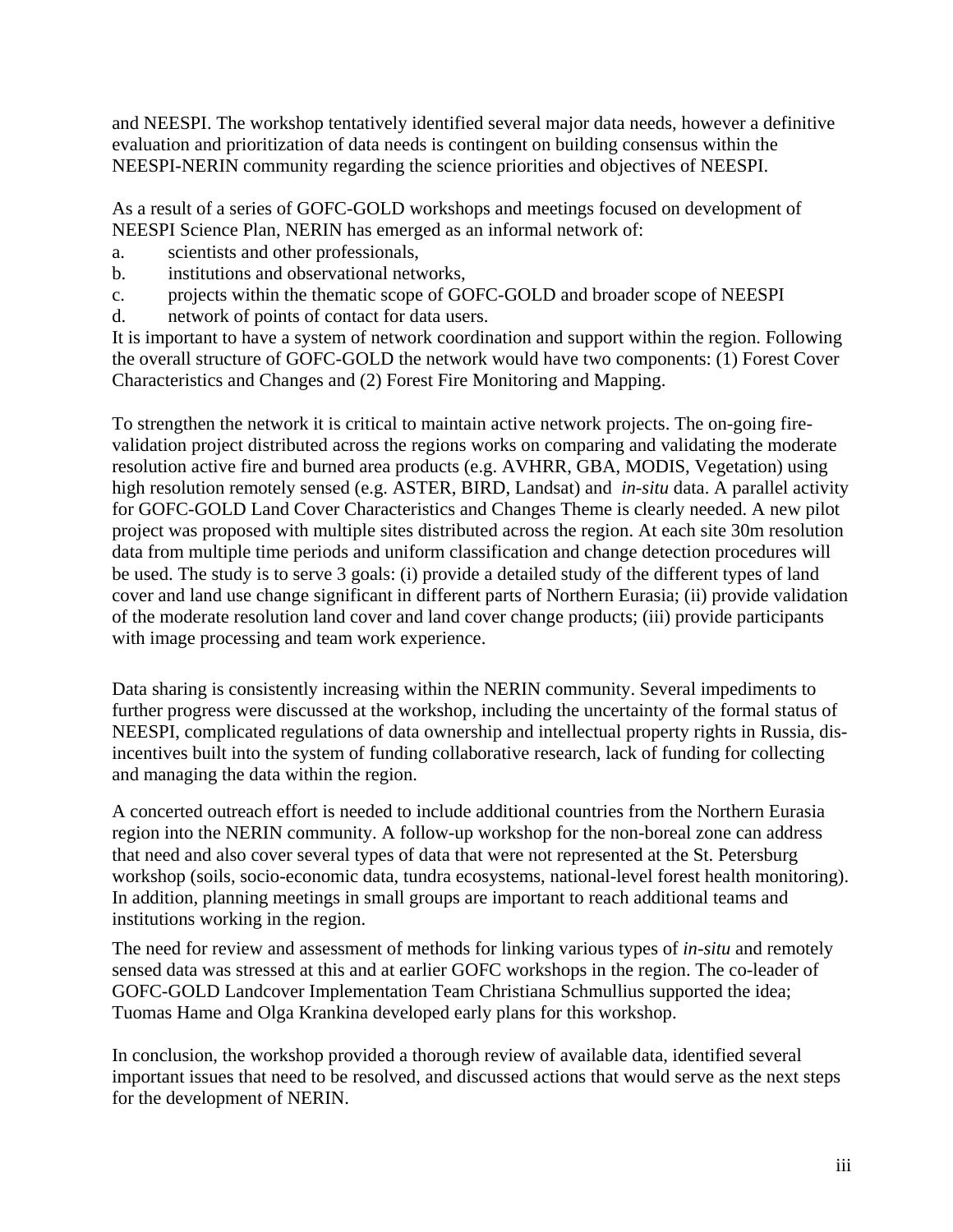and NEESPI. The workshop tentatively identified several major data needs, however a definitive evaluation and prioritization of data needs is contingent on building consensus within the NEESPI-NERIN community regarding the science priorities and objectives of NEESPI.

As a result of a series of GOFC-GOLD workshops and meetings focused on development of NEESPI Science Plan, NERIN has emerged as an informal network of:

- a. scientists and other professionals,
- b. institutions and observational networks,
- c. projects within the thematic scope of GOFC-GOLD and broader scope of NEESPI
- d. network of points of contact for data users.

It is important to have a system of network coordination and support within the region. Following the overall structure of GOFC-GOLD the network would have two components: (1) Forest Cover Characteristics and Changes and (2) Forest Fire Monitoring and Mapping.

To strengthen the network it is critical to maintain active network projects. The on-going firevalidation project distributed across the regions works on comparing and validating the moderate resolution active fire and burned area products (e.g. AVHRR, GBA, MODIS, Vegetation) using high resolution remotely sensed (e.g. ASTER, BIRD, Landsat) and *in-situ* data. A parallel activity for GOFC-GOLD Land Cover Characteristics and Changes Theme is clearly needed. A new pilot project was proposed with multiple sites distributed across the region. At each site 30m resolution data from multiple time periods and uniform classification and change detection procedures will be used. The study is to serve 3 goals: (i) provide a detailed study of the different types of land cover and land use change significant in different parts of Northern Eurasia; (ii) provide validation of the moderate resolution land cover and land cover change products; (iii) provide participants with image processing and team work experience.

Data sharing is consistently increasing within the NERIN community. Several impediments to further progress were discussed at the workshop, including the uncertainty of the formal status of NEESPI, complicated regulations of data ownership and intellectual property rights in Russia, disincentives built into the system of funding collaborative research, lack of funding for collecting and managing the data within the region.

A concerted outreach effort is needed to include additional countries from the Northern Eurasia region into the NERIN community. A follow-up workshop for the non-boreal zone can address that need and also cover several types of data that were not represented at the St. Petersburg workshop (soils, socio-economic data, tundra ecosystems, national-level forest health monitoring). In addition, planning meetings in small groups are important to reach additional teams and institutions working in the region.

The need for review and assessment of methods for linking various types of *in-situ* and remotely sensed data was stressed at this and at earlier GOFC workshops in the region. The co-leader of GOFC-GOLD Landcover Implementation Team Christiana Schmullius supported the idea; Tuomas Hame and Olga Krankina developed early plans for this workshop.

In conclusion, the workshop provided a thorough review of available data, identified several important issues that need to be resolved, and discussed actions that would serve as the next steps for the development of NERIN.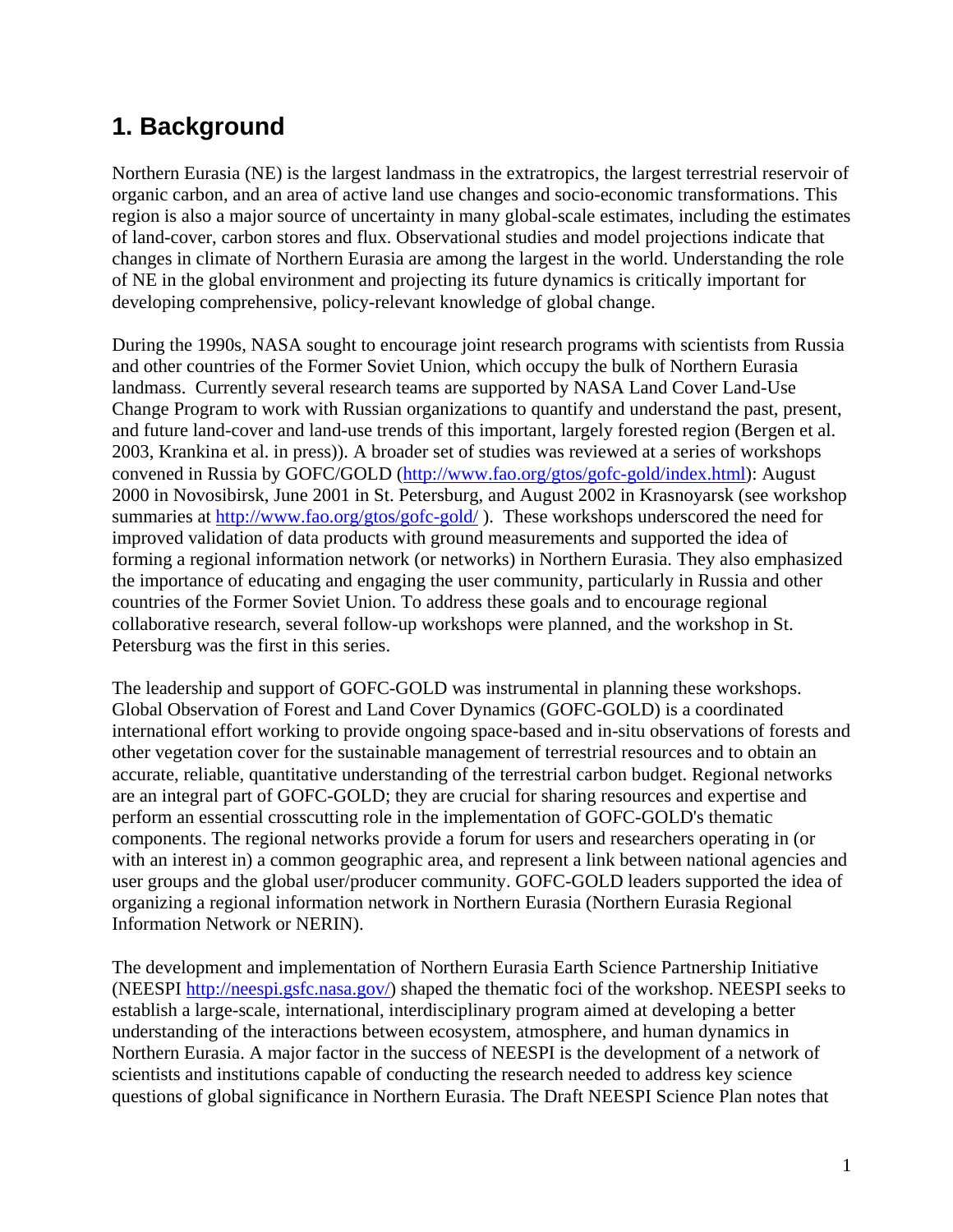#### **1. Background**

Northern Eurasia (NE) is the largest landmass in the extratropics, the largest terrestrial reservoir of organic carbon, and an area of active land use changes and socio-economic transformations. This region is also a major source of uncertainty in many global-scale estimates, including the estimates of land-cover, carbon stores and flux. Observational studies and model projections indicate that changes in climate of Northern Eurasia are among the largest in the world. Understanding the role of NE in the global environment and projecting its future dynamics is critically important for developing comprehensive, policy-relevant knowledge of global change.

During the 1990s, NASA sought to encourage joint research programs with scientists from Russia and other countries of the Former Soviet Union, which occupy the bulk of Northern Eurasia landmass. Currently several research teams are supported by NASA Land Cover Land-Use Change Program to work with Russian organizations to quantify and understand the past, present, and future land-cover and land-use trends of this important, largely forested region (Bergen et al. 2003, Krankina et al. in press)). A broader set of studies was reviewed at a series of workshops convened in Russia by GOFC/GOLD (http://www.fao.org/gtos/gofc-gold/index.html): August 2000 in Novosibirsk, June 2001 in St. Petersburg, and August 2002 in Krasnoyarsk (see workshop summaries at http://www.fao.org/gtos/gofc-gold/). These workshops underscored the need for improved validation of data products with ground measurements and supported the idea of forming a regional information network (or networks) in Northern Eurasia. They also emphasized the importance of educating and engaging the user community, particularly in Russia and other countries of the Former Soviet Union. To address these goals and to encourage regional collaborative research, several follow-up workshops were planned, and the workshop in St. Petersburg was the first in this series.

The leadership and support of GOFC-GOLD was instrumental in planning these workshops. Global Observation of Forest and Land Cover Dynamics (GOFC-GOLD) is a coordinated international effort working to provide ongoing space-based and in-situ observations of forests and other vegetation cover for the sustainable management of terrestrial resources and to obtain an accurate, reliable, quantitative understanding of the terrestrial carbon budget. Regional networks are an integral part of GOFC-GOLD; they are crucial for sharing resources and expertise and perform an essential crosscutting role in the implementation of GOFC-GOLD's thematic components. The regional networks provide a forum for users and researchers operating in (or with an interest in) a common geographic area, and represent a link between national agencies and user groups and the global user/producer community. GOFC-GOLD leaders supported the idea of organizing a regional information network in Northern Eurasia (Northern Eurasia Regional Information Network or NERIN).

The development and implementation of Northern Eurasia Earth Science Partnership Initiative (NEESPI http://neespi.gsfc.nasa.gov/) shaped the thematic foci of the workshop. NEESPI seeks to establish a large-scale, international, interdisciplinary program aimed at developing a better understanding of the interactions between ecosystem, atmosphere, and human dynamics in Northern Eurasia. A major factor in the success of NEESPI is the development of a network of scientists and institutions capable of conducting the research needed to address key science questions of global significance in Northern Eurasia. The Draft NEESPI Science Plan notes that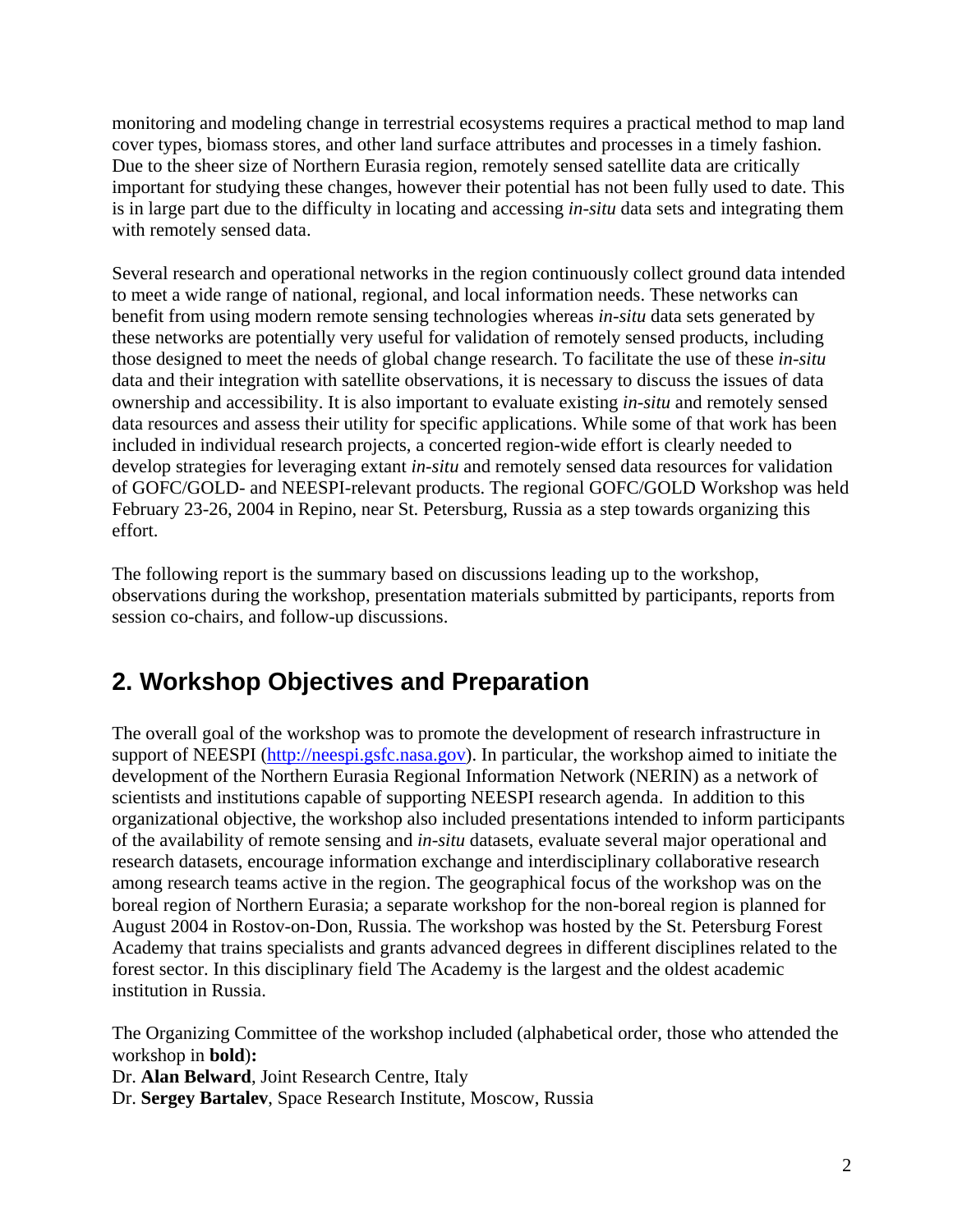monitoring and modeling change in terrestrial ecosystems requires a practical method to map land cover types, biomass stores, and other land surface attributes and processes in a timely fashion. Due to the sheer size of Northern Eurasia region, remotely sensed satellite data are critically important for studying these changes, however their potential has not been fully used to date. This is in large part due to the difficulty in locating and accessing *in-situ* data sets and integrating them with remotely sensed data.

Several research and operational networks in the region continuously collect ground data intended to meet a wide range of national, regional, and local information needs. These networks can benefit from using modern remote sensing technologies whereas *in-situ* data sets generated by these networks are potentially very useful for validation of remotely sensed products, including those designed to meet the needs of global change research. To facilitate the use of these *in-situ* data and their integration with satellite observations, it is necessary to discuss the issues of data ownership and accessibility. It is also important to evaluate existing *in-situ* and remotely sensed data resources and assess their utility for specific applications. While some of that work has been included in individual research projects, a concerted region-wide effort is clearly needed to develop strategies for leveraging extant *in-situ* and remotely sensed data resources for validation of GOFC/GOLD- and NEESPI-relevant products. The regional GOFC/GOLD Workshop was held February 23-26, 2004 in Repino, near St. Petersburg, Russia as a step towards organizing this effort.

The following report is the summary based on discussions leading up to the workshop, observations during the workshop, presentation materials submitted by participants, reports from session co-chairs, and follow-up discussions.

## **2. Workshop Objectives and Preparation**

The overall goal of the workshop was to promote the development of research infrastructure in support of NEESPI (http://neespi.gsfc.nasa.gov). In particular, the workshop aimed to initiate the development of the Northern Eurasia Regional Information Network (NERIN) as a network of scientists and institutions capable of supporting NEESPI research agenda. In addition to this organizational objective, the workshop also included presentations intended to inform participants of the availability of remote sensing and *in-situ* datasets, evaluate several major operational and research datasets, encourage information exchange and interdisciplinary collaborative research among research teams active in the region. The geographical focus of the workshop was on the boreal region of Northern Eurasia; a separate workshop for the non-boreal region is planned for August 2004 in Rostov-on-Don, Russia. The workshop was hosted by the St. Petersburg Forest Academy that trains specialists and grants advanced degrees in different disciplines related to the forest sector. In this disciplinary field The Academy is the largest and the oldest academic institution in Russia.

The Organizing Committee of the workshop included (alphabetical order, those who attended the workshop in **bold**)**:** 

Dr. **Alan Belward**, Joint Research Centre, Italy

Dr. **Sergey Bartalev**, Space Research Institute, Moscow, Russia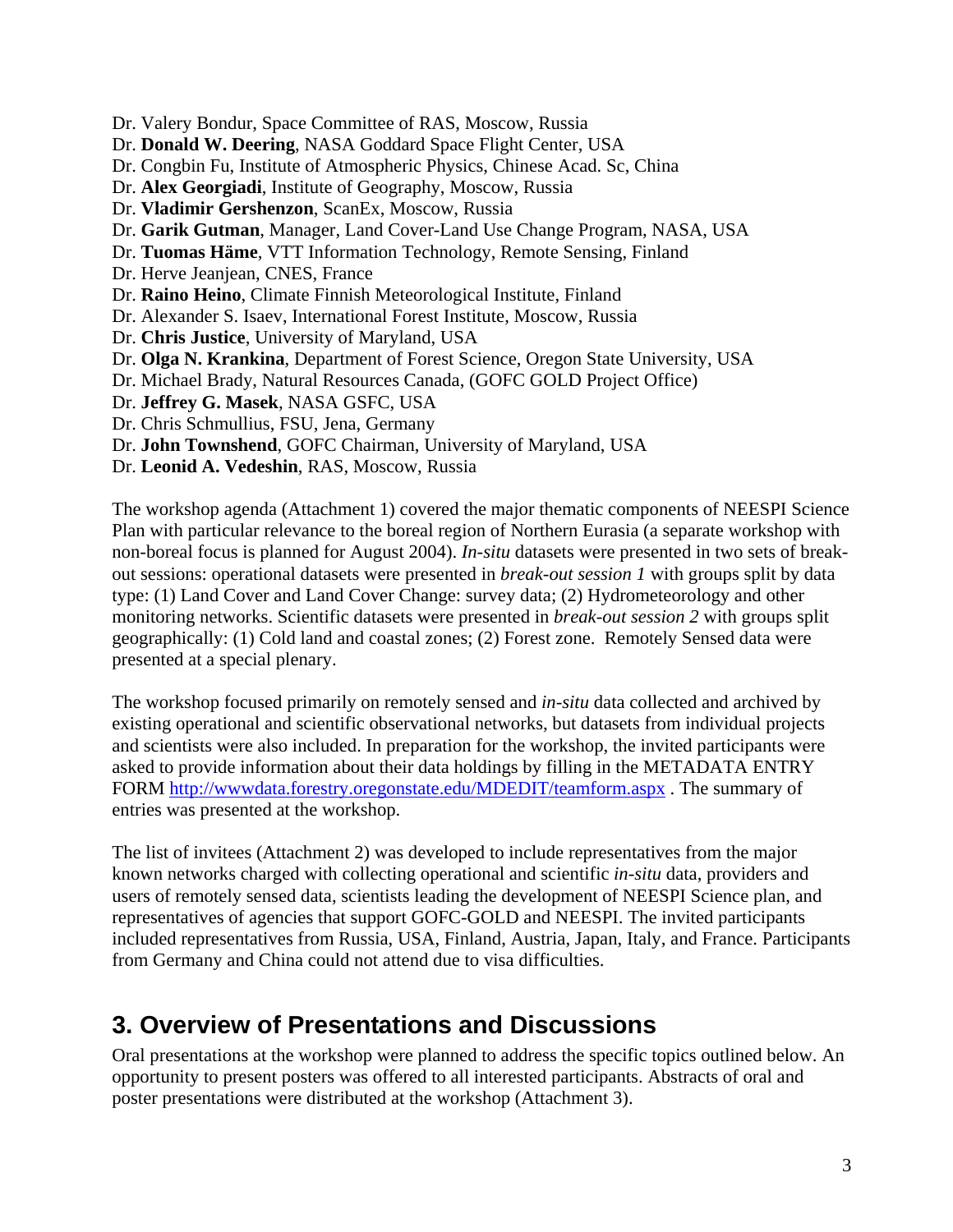Dr. Valery Bondur, Space Committee of RAS, Moscow, Russia

Dr. **Donald W. Deering**, NASA Goddard Space Flight Center, USA

- Dr. Congbin Fu, Institute of Atmospheric Physics, Chinese Acad. Sc, China
- Dr. **Alex Georgiadi**, Institute of Geography, Moscow, Russia
- Dr. **Vladimir Gershenzon**, ScanEx, Moscow, Russia
- Dr. **Garik Gutman**, Manager, Land Cover-Land Use Change Program, NASA, USA
- Dr. **Tuomas Häme**, VTT Information Technology, Remote Sensing, Finland
- Dr. Herve Jeanjean, CNES, France
- Dr. **Raino Heino**, Climate Finnish Meteorological Institute, Finland
- Dr. Alexander S. Isaev, International Forest Institute, Moscow, Russia
- Dr. **Chris Justice**, University of Maryland, USA
- Dr. **Olga N. Krankina**, Department of Forest Science, Oregon State University, USA
- Dr. Michael Brady, Natural Resources Canada, (GOFC GOLD Project Office)
- Dr. **Jeffrey G. Masek**, NASA GSFC, USA
- Dr. Chris Schmullius, FSU, Jena, Germany
- Dr. **John Townshend**, GOFC Chairman, University of Maryland, USA
- Dr. **Leonid A. Vedeshin**, RAS, Moscow, Russia

The workshop agenda (Attachment 1) covered the major thematic components of NEESPI Science Plan with particular relevance to the boreal region of Northern Eurasia (a separate workshop with non-boreal focus is planned for August 2004). *In-situ* datasets were presented in two sets of breakout sessions: operational datasets were presented in *break-out session 1* with groups split by data type: (1) Land Cover and Land Cover Change: survey data; (2) Hydrometeorology and other monitoring networks. Scientific datasets were presented in *break-out session 2* with groups split geographically: (1) Cold land and coastal zones; (2) Forest zone. Remotely Sensed data were presented at a special plenary.

The workshop focused primarily on remotely sensed and *in-situ* data collected and archived by existing operational and scientific observational networks, but datasets from individual projects and scientists were also included. In preparation for the workshop, the invited participants were asked to provide information about their data holdings by filling in the METADATA ENTRY FORM http://wwwdata.forestry.oregonstate.edu/MDEDIT/teamform.aspx . The summary of entries was presented at the workshop.

The list of invitees (Attachment 2) was developed to include representatives from the major known networks charged with collecting operational and scientific *in-situ* data, providers and users of remotely sensed data, scientists leading the development of NEESPI Science plan, and representatives of agencies that support GOFC-GOLD and NEESPI. The invited participants included representatives from Russia, USA, Finland, Austria, Japan, Italy, and France. Participants from Germany and China could not attend due to visa difficulties.

## **3. Overview of Presentations and Discussions**

Oral presentations at the workshop were planned to address the specific topics outlined below. An opportunity to present posters was offered to all interested participants. Abstracts of oral and poster presentations were distributed at the workshop (Attachment 3).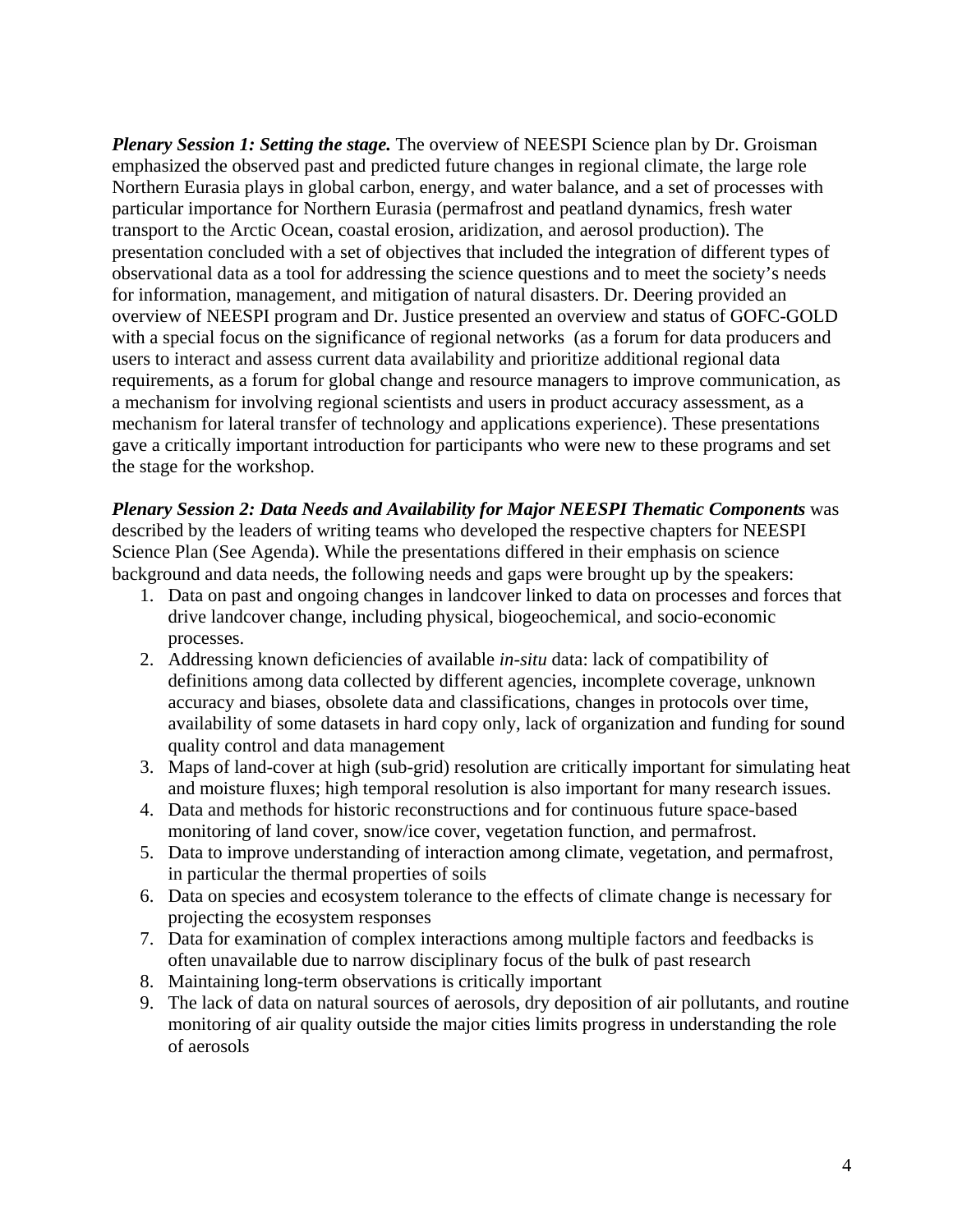*Plenary Session 1: Setting the stage.* The overview of NEESPI Science plan by Dr. Groisman emphasized the observed past and predicted future changes in regional climate, the large role Northern Eurasia plays in global carbon, energy, and water balance, and a set of processes with particular importance for Northern Eurasia (permafrost and peatland dynamics, fresh water transport to the Arctic Ocean, coastal erosion, aridization, and aerosol production). The presentation concluded with a set of objectives that included the integration of different types of observational data as a tool for addressing the science questions and to meet the society's needs for information, management, and mitigation of natural disasters. Dr. Deering provided an overview of NEESPI program and Dr. Justice presented an overview and status of GOFC-GOLD with a special focus on the significance of regional networks (as a forum for data producers and users to interact and assess current data availability and prioritize additional regional data requirements, as a forum for global change and resource managers to improve communication, as a mechanism for involving regional scientists and users in product accuracy assessment, as a mechanism for lateral transfer of technology and applications experience). These presentations gave a critically important introduction for participants who were new to these programs and set the stage for the workshop.

*Plenary Session 2: Data Needs and Availability for Major NEESPI Thematic Components* was described by the leaders of writing teams who developed the respective chapters for NEESPI Science Plan (See Agenda). While the presentations differed in their emphasis on science background and data needs, the following needs and gaps were brought up by the speakers:

- 1. Data on past and ongoing changes in landcover linked to data on processes and forces that drive landcover change, including physical, biogeochemical, and socio-economic processes.
- 2. Addressing known deficiencies of available *in-situ* data: lack of compatibility of definitions among data collected by different agencies, incomplete coverage, unknown accuracy and biases, obsolete data and classifications, changes in protocols over time, availability of some datasets in hard copy only, lack of organization and funding for sound quality control and data management
- 3. Maps of land-cover at high (sub-grid) resolution are critically important for simulating heat and moisture fluxes; high temporal resolution is also important for many research issues.
- 4. Data and methods for historic reconstructions and for continuous future space-based monitoring of land cover, snow/ice cover, vegetation function, and permafrost.
- 5. Data to improve understanding of interaction among climate, vegetation, and permafrost, in particular the thermal properties of soils
- 6. Data on species and ecosystem tolerance to the effects of climate change is necessary for projecting the ecosystem responses
- 7. Data for examination of complex interactions among multiple factors and feedbacks is often unavailable due to narrow disciplinary focus of the bulk of past research
- 8. Maintaining long-term observations is critically important
- 9. The lack of data on natural sources of aerosols, dry deposition of air pollutants, and routine monitoring of air quality outside the major cities limits progress in understanding the role of aerosols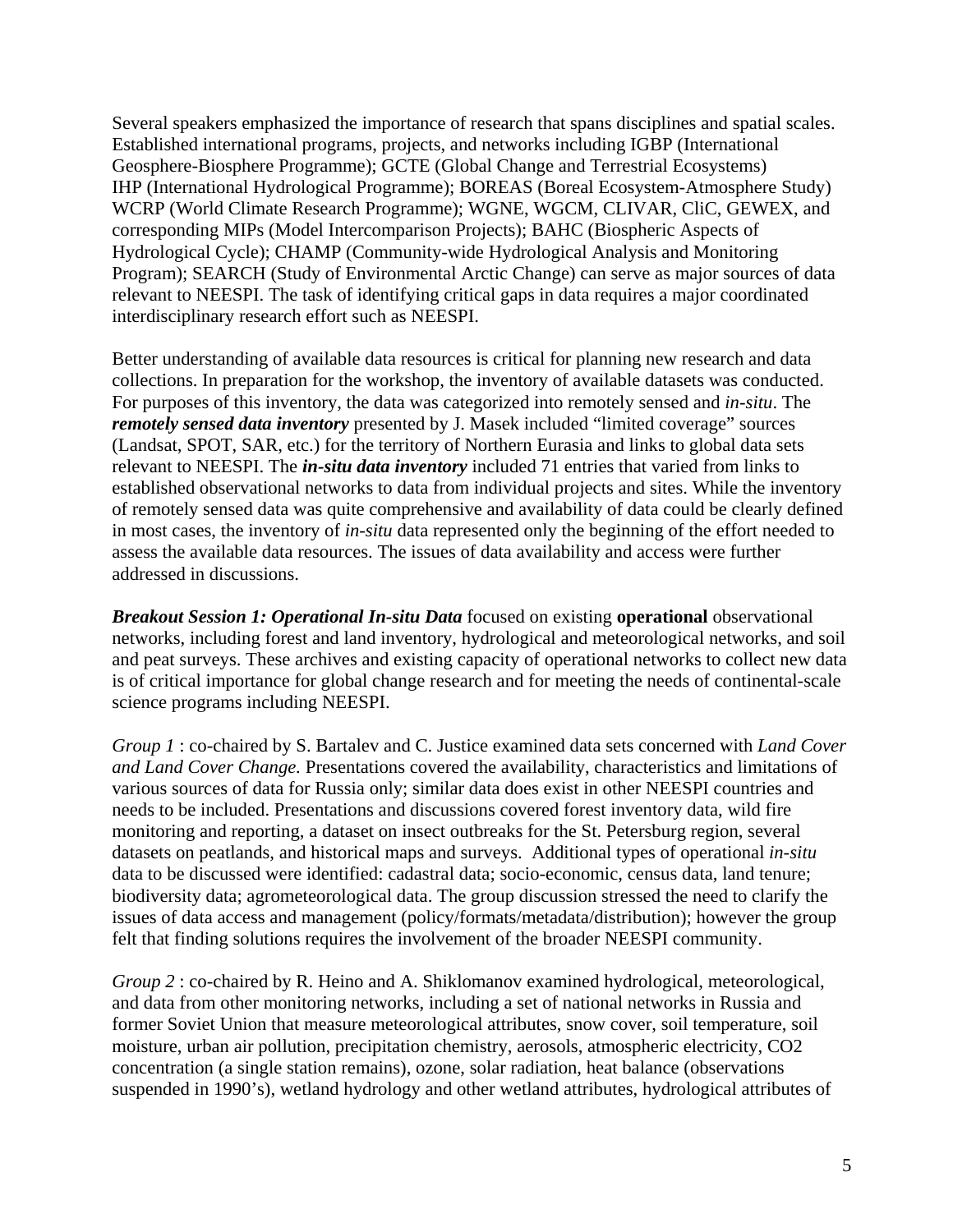Several speakers emphasized the importance of research that spans disciplines and spatial scales. Established international programs, projects, and networks including IGBP (International Geosphere-Biosphere Programme); GCTE (Global Change and Terrestrial Ecosystems) IHP (International Hydrological Programme); BOREAS (Boreal Ecosystem-Atmosphere Study) WCRP (World Climate Research Programme); WGNE, WGCM, CLIVAR, CliC, GEWEX, and corresponding MIPs (Model Intercomparison Projects); BAHC (Biospheric Aspects of Hydrological Cycle); CHAMP (Community-wide Hydrological Analysis and Monitoring Program); SEARCH (Study of Environmental Arctic Change) can serve as major sources of data relevant to NEESPI. The task of identifying critical gaps in data requires a major coordinated interdisciplinary research effort such as NEESPI.

Better understanding of available data resources is critical for planning new research and data collections. In preparation for the workshop, the inventory of available datasets was conducted. For purposes of this inventory, the data was categorized into remotely sensed and *in-situ*. The *remotely sensed data inventory* presented by J. Masek included "limited coverage" sources (Landsat, SPOT, SAR, etc.) for the territory of Northern Eurasia and links to global data sets relevant to NEESPI. The *in-situ data inventory* included 71 entries that varied from links to established observational networks to data from individual projects and sites. While the inventory of remotely sensed data was quite comprehensive and availability of data could be clearly defined in most cases, the inventory of *in-situ* data represented only the beginning of the effort needed to assess the available data resources. The issues of data availability and access were further addressed in discussions.

*Breakout Session 1: Operational In-situ Data* focused on existing **operational** observational networks, including forest and land inventory, hydrological and meteorological networks, and soil and peat surveys. These archives and existing capacity of operational networks to collect new data is of critical importance for global change research and for meeting the needs of continental-scale science programs including NEESPI.

*Group 1* : co-chaired by S. Bartalev and C. Justice examined data sets concerned with *Land Cover and Land Cover Change.* Presentations covered the availability, characteristics and limitations of various sources of data for Russia only; similar data does exist in other NEESPI countries and needs to be included. Presentations and discussions covered forest inventory data, wild fire monitoring and reporting, a dataset on insect outbreaks for the St. Petersburg region, several datasets on peatlands, and historical maps and surveys. Additional types of operational *in-situ* data to be discussed were identified: cadastral data; socio-economic, census data, land tenure; biodiversity data; agrometeorological data. The group discussion stressed the need to clarify the issues of data access and management (policy/formats/metadata/distribution); however the group felt that finding solutions requires the involvement of the broader NEESPI community.

*Group 2* : co-chaired by R. Heino and A. Shiklomanov examined hydrological, meteorological, and data from other monitoring networks, including a set of national networks in Russia and former Soviet Union that measure meteorological attributes, snow cover, soil temperature, soil moisture, urban air pollution, precipitation chemistry, aerosols, atmospheric electricity, CO2 concentration (a single station remains), ozone, solar radiation, heat balance (observations suspended in 1990's), wetland hydrology and other wetland attributes, hydrological attributes of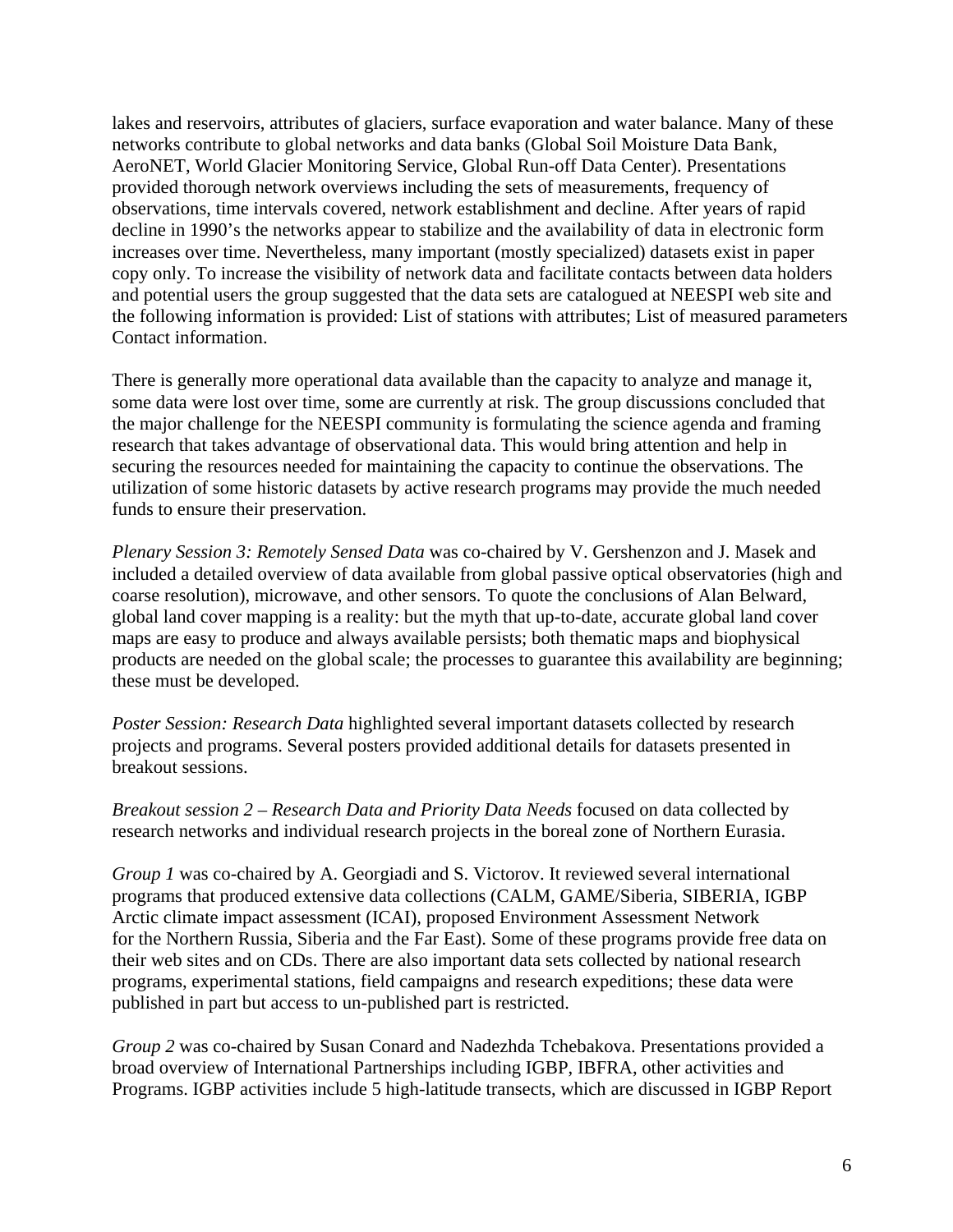lakes and reservoirs, attributes of glaciers, surface evaporation and water balance. Many of these networks contribute to global networks and data banks (Global Soil Moisture Data Bank, AeroNET, World Glacier Monitoring Service, Global Run-off Data Center). Presentations provided thorough network overviews including the sets of measurements, frequency of observations, time intervals covered, network establishment and decline. After years of rapid decline in 1990's the networks appear to stabilize and the availability of data in electronic form increases over time. Nevertheless, many important (mostly specialized) datasets exist in paper copy only. To increase the visibility of network data and facilitate contacts between data holders and potential users the group suggested that the data sets are catalogued at NEESPI web site and the following information is provided: List of stations with attributes; List of measured parameters Contact information.

There is generally more operational data available than the capacity to analyze and manage it, some data were lost over time, some are currently at risk. The group discussions concluded that the major challenge for the NEESPI community is formulating the science agenda and framing research that takes advantage of observational data. This would bring attention and help in securing the resources needed for maintaining the capacity to continue the observations. The utilization of some historic datasets by active research programs may provide the much needed funds to ensure their preservation.

*Plenary Session 3: Remotely Sensed Data* was co-chaired by V. Gershenzon and J. Masek and included a detailed overview of data available from global passive optical observatories (high and coarse resolution), microwave, and other sensors. To quote the conclusions of Alan Belward, global land cover mapping is a reality: but the myth that up-to-date, accurate global land cover maps are easy to produce and always available persists; both thematic maps and biophysical products are needed on the global scale; the processes to guarantee this availability are beginning; these must be developed.

*Poster Session: Research Data* highlighted several important datasets collected by research projects and programs. Several posters provided additional details for datasets presented in breakout sessions.

*Breakout session 2 – Research Data and Priority Data Needs* focused on data collected by research networks and individual research projects in the boreal zone of Northern Eurasia.

*Group 1* was co-chaired by A. Georgiadi and S. Victorov. It reviewed several international programs that produced extensive data collections (CALM, GAME/Siberia, SIBERIA, IGBP Arctic climate impact assessment (ICAI), proposed Environment Assessment Network for the Northern Russia, Siberia and the Far East). Some of these programs provide free data on their web sites and on CDs. There are also important data sets collected by national research programs, experimental stations, field campaigns and research expeditions; these data were published in part but access to un-published part is restricted.

*Group 2* was co-chaired by Susan Conard and Nadezhda Tchebakova. Presentations provided a broad overview of International Partnerships including IGBP, IBFRA, other activities and Programs. IGBP activities include 5 high-latitude transects, which are discussed in IGBP Report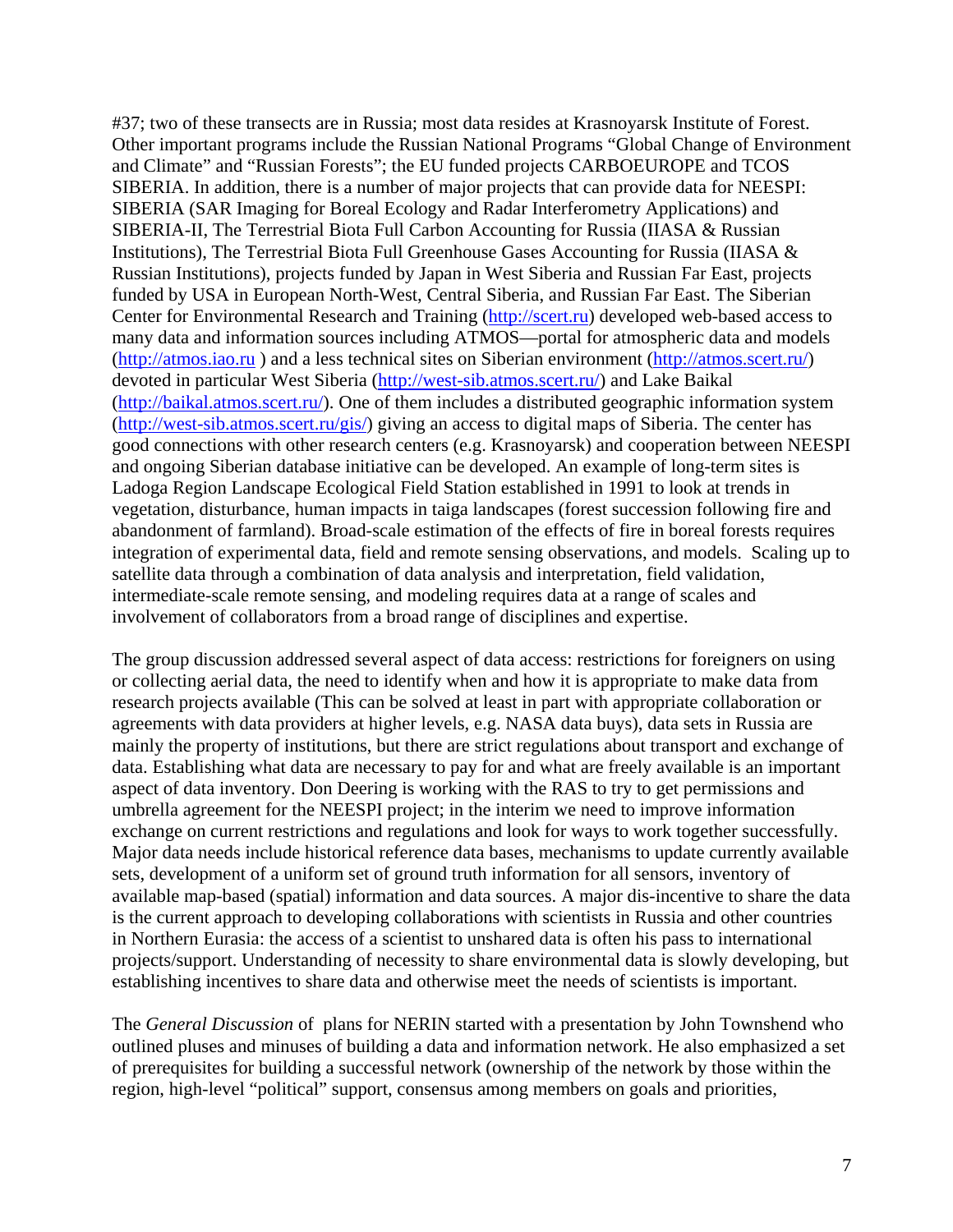#37; two of these transects are in Russia; most data resides at Krasnoyarsk Institute of Forest. Other important programs include the Russian National Programs "Global Change of Environment and Climate" and "Russian Forests"; the EU funded projects CARBOEUROPE and TCOS SIBERIA. In addition, there is a number of major projects that can provide data for NEESPI: SIBERIA (SAR Imaging for Boreal Ecology and Radar Interferometry Applications) and SIBERIA-II, The Terrestrial Biota Full Carbon Accounting for Russia (IIASA & Russian Institutions), The Terrestrial Biota Full Greenhouse Gases Accounting for Russia (IIASA & Russian Institutions), projects funded by Japan in West Siberia and Russian Far East, projects funded by USA in European North-West, Central Siberia, and Russian Far East. The Siberian Center for Environmental Research and Training (http://scert.ru) developed web-based access to many data and information sources including ATMOS—portal for atmospheric data and models (http://atmos.iao.ru ) and a less technical sites on Siberian environment (http://atmos.scert.ru/) devoted in particular West Siberia (http://west-sib.atmos.scert.ru/) and Lake Baikal (http://baikal.atmos.scert.ru/). One of them includes a distributed geographic information system (http://west-sib.atmos.scert.ru/gis/) giving an access to digital maps of Siberia. The center has good connections with other research centers (e.g. Krasnoyarsk) and cooperation between NEESPI and ongoing Siberian database initiative can be developed. An example of long-term sites is Ladoga Region Landscape Ecological Field Station established in 1991 to look at trends in vegetation, disturbance, human impacts in taiga landscapes (forest succession following fire and abandonment of farmland). Broad-scale estimation of the effects of fire in boreal forests requires integration of experimental data, field and remote sensing observations, and models. Scaling up to satellite data through a combination of data analysis and interpretation, field validation, intermediate-scale remote sensing, and modeling requires data at a range of scales and involvement of collaborators from a broad range of disciplines and expertise.

The group discussion addressed several aspect of data access: restrictions for foreigners on using or collecting aerial data, the need to identify when and how it is appropriate to make data from research projects available (This can be solved at least in part with appropriate collaboration or agreements with data providers at higher levels, e.g. NASA data buys), data sets in Russia are mainly the property of institutions, but there are strict regulations about transport and exchange of data. Establishing what data are necessary to pay for and what are freely available is an important aspect of data inventory. Don Deering is working with the RAS to try to get permissions and umbrella agreement for the NEESPI project; in the interim we need to improve information exchange on current restrictions and regulations and look for ways to work together successfully. Major data needs include historical reference data bases, mechanisms to update currently available sets, development of a uniform set of ground truth information for all sensors, inventory of available map-based (spatial) information and data sources. A major dis-incentive to share the data is the current approach to developing collaborations with scientists in Russia and other countries in Northern Eurasia: the access of a scientist to unshared data is often his pass to international projects/support. Understanding of necessity to share environmental data is slowly developing, but establishing incentives to share data and otherwise meet the needs of scientists is important.

The *General Discussion* of plans for NERIN started with a presentation by John Townshend who outlined pluses and minuses of building a data and information network. He also emphasized a set of prerequisites for building a successful network (ownership of the network by those within the region, high-level "political" support, consensus among members on goals and priorities,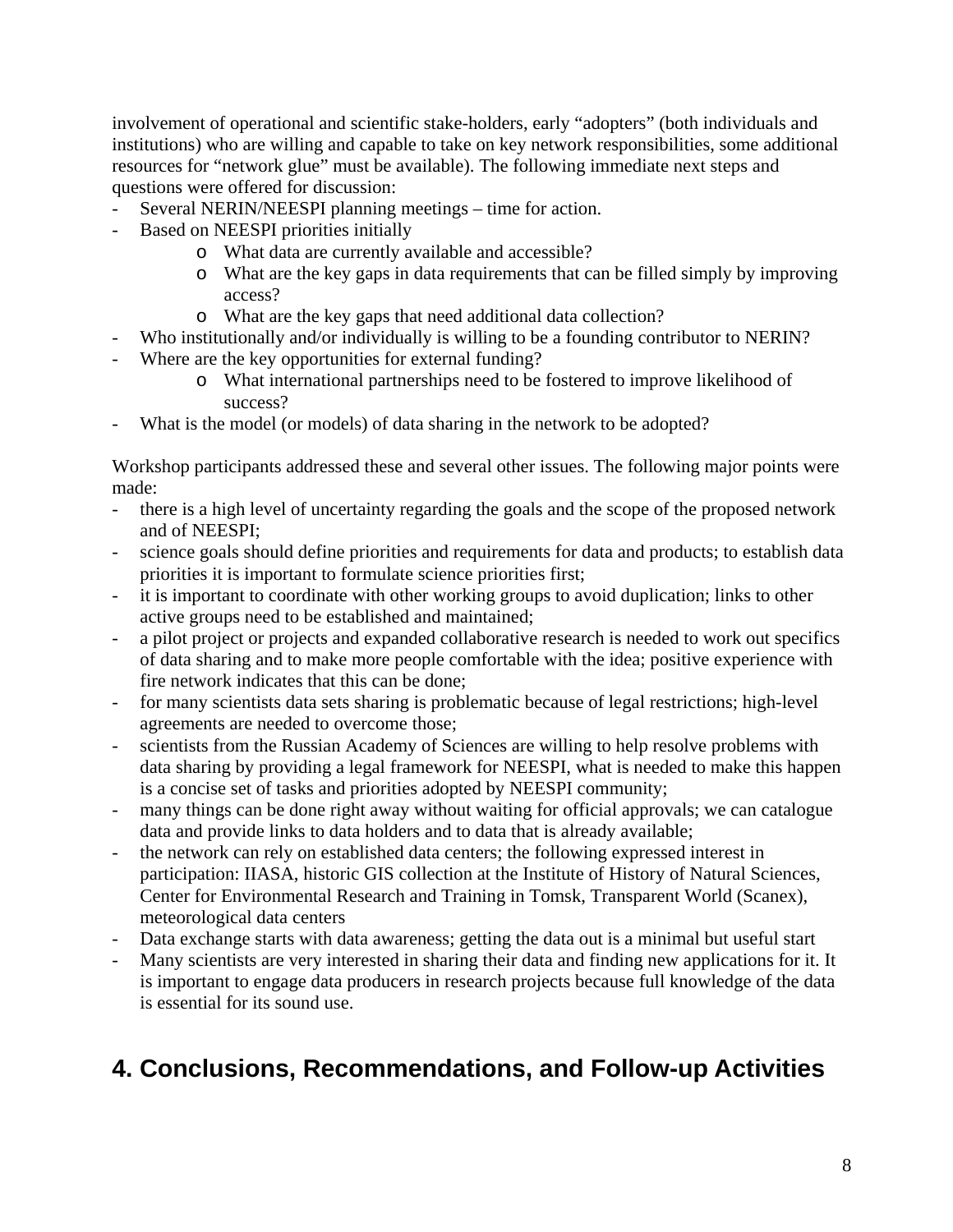involvement of operational and scientific stake-holders, early "adopters" (both individuals and institutions) who are willing and capable to take on key network responsibilities, some additional resources for "network glue" must be available). The following immediate next steps and questions were offered for discussion:

- Several NERIN/NEESPI planning meetings time for action.
- Based on NEESPI priorities initially
	- o What data are currently available and accessible?
	- o What are the key gaps in data requirements that can be filled simply by improving access?
	- o What are the key gaps that need additional data collection?
- Who institutionally and/or individually is willing to be a founding contributor to NERIN?
- Where are the key opportunities for external funding?
	- o What international partnerships need to be fostered to improve likelihood of success?
- What is the model (or models) of data sharing in the network to be adopted?

Workshop participants addressed these and several other issues. The following major points were made:

- there is a high level of uncertainty regarding the goals and the scope of the proposed network and of NEESPI;
- science goals should define priorities and requirements for data and products; to establish data priorities it is important to formulate science priorities first;
- it is important to coordinate with other working groups to avoid duplication; links to other active groups need to be established and maintained;
- a pilot project or projects and expanded collaborative research is needed to work out specifics of data sharing and to make more people comfortable with the idea; positive experience with fire network indicates that this can be done;
- for many scientists data sets sharing is problematic because of legal restrictions; high-level agreements are needed to overcome those;
- scientists from the Russian Academy of Sciences are willing to help resolve problems with data sharing by providing a legal framework for NEESPI, what is needed to make this happen is a concise set of tasks and priorities adopted by NEESPI community;
- many things can be done right away without waiting for official approvals; we can catalogue data and provide links to data holders and to data that is already available;
- the network can rely on established data centers; the following expressed interest in participation: IIASA, historic GIS collection at the Institute of History of Natural Sciences, Center for Environmental Research and Training in Tomsk, Transparent World (Scanex), meteorological data centers
- Data exchange starts with data awareness; getting the data out is a minimal but useful start
- Many scientists are very interested in sharing their data and finding new applications for it. It is important to engage data producers in research projects because full knowledge of the data is essential for its sound use.

#### **4. Conclusions, Recommendations, and Follow-up Activities**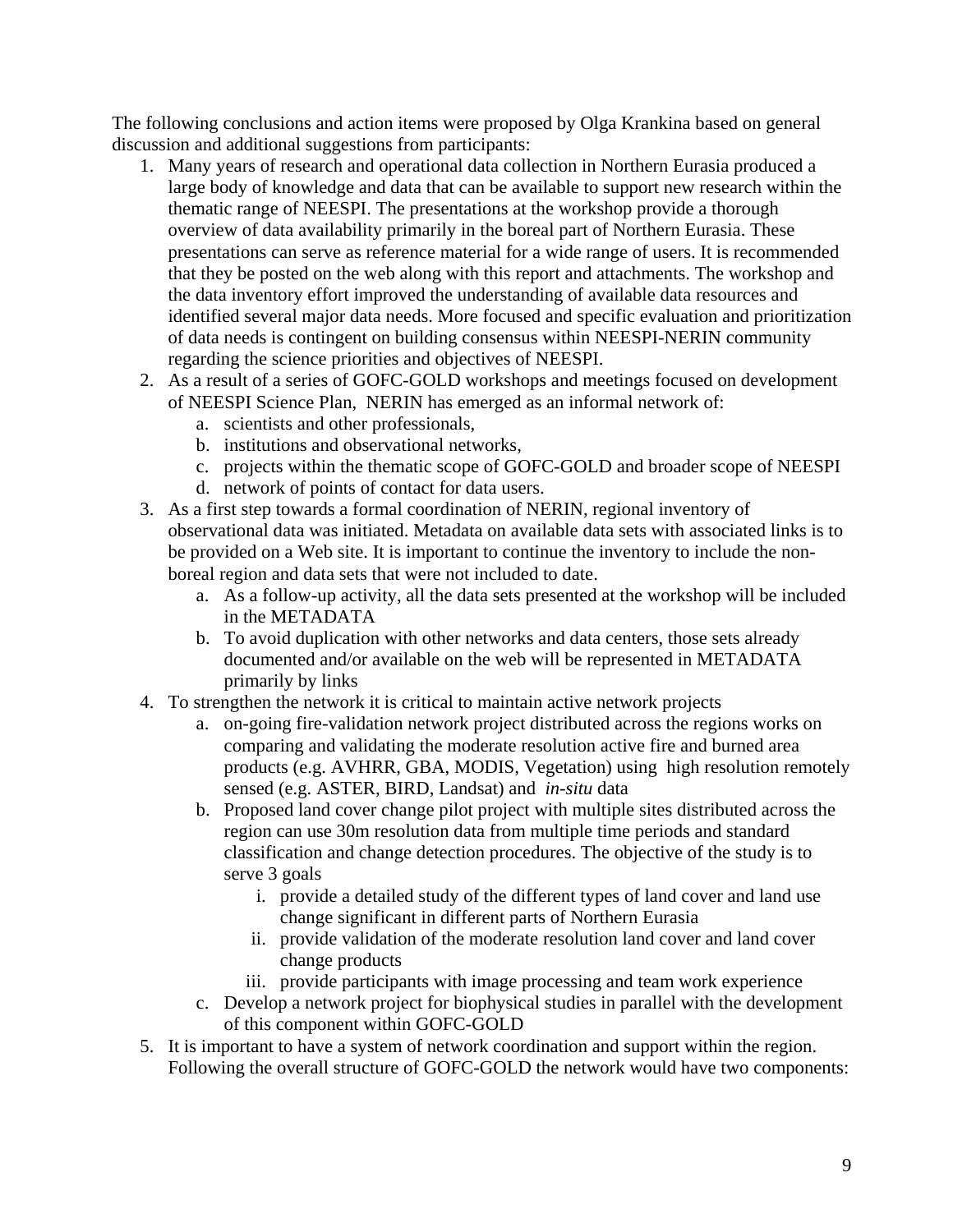The following conclusions and action items were proposed by Olga Krankina based on general discussion and additional suggestions from participants:

- 1. Many years of research and operational data collection in Northern Eurasia produced a large body of knowledge and data that can be available to support new research within the thematic range of NEESPI. The presentations at the workshop provide a thorough overview of data availability primarily in the boreal part of Northern Eurasia. These presentations can serve as reference material for a wide range of users. It is recommended that they be posted on the web along with this report and attachments. The workshop and the data inventory effort improved the understanding of available data resources and identified several major data needs. More focused and specific evaluation and prioritization of data needs is contingent on building consensus within NEESPI-NERIN community regarding the science priorities and objectives of NEESPI.
- 2. As a result of a series of GOFC-GOLD workshops and meetings focused on development of NEESPI Science Plan, NERIN has emerged as an informal network of:
	- a. scientists and other professionals,
	- b. institutions and observational networks,
	- c. projects within the thematic scope of GOFC-GOLD and broader scope of NEESPI
	- d. network of points of contact for data users.
- 3. As a first step towards a formal coordination of NERIN, regional inventory of observational data was initiated. Metadata on available data sets with associated links is to be provided on a Web site. It is important to continue the inventory to include the nonboreal region and data sets that were not included to date.
	- a. As a follow-up activity, all the data sets presented at the workshop will be included in the METADATA
	- b. To avoid duplication with other networks and data centers, those sets already documented and/or available on the web will be represented in METADATA primarily by links
- 4. To strengthen the network it is critical to maintain active network projects
	- a. on-going fire-validation network project distributed across the regions works on comparing and validating the moderate resolution active fire and burned area products (e.g. AVHRR, GBA, MODIS, Vegetation) using high resolution remotely sensed (e.g. ASTER, BIRD, Landsat) and *in-situ* data
	- b. Proposed land cover change pilot project with multiple sites distributed across the region can use 30m resolution data from multiple time periods and standard classification and change detection procedures. The objective of the study is to serve 3 goals
		- i. provide a detailed study of the different types of land cover and land use change significant in different parts of Northern Eurasia
		- ii. provide validation of the moderate resolution land cover and land cover change products
		- iii. provide participants with image processing and team work experience
	- c. Develop a network project for biophysical studies in parallel with the development of this component within GOFC-GOLD
- 5. It is important to have a system of network coordination and support within the region. Following the overall structure of GOFC-GOLD the network would have two components: